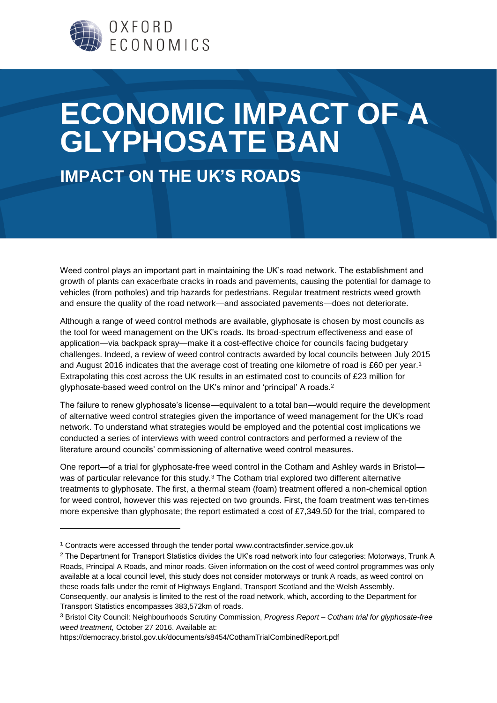

## **ECONOMIC IMPACT OF A GLYPHOSATE BAN**

**IMPACT ON THE UK'S ROADS**

Weed control plays an important part in maintaining the UK's road network. The establishment and growth of plants can exacerbate cracks in roads and pavements, causing the potential for damage to vehicles (from potholes) and trip hazards for pedestrians. Regular treatment restricts weed growth and ensure the quality of the road network—and associated pavements—does not deteriorate.

Although a range of weed control methods are available, glyphosate is chosen by most councils as the tool for weed management on the UK's roads. Its broad-spectrum effectiveness and ease of application—via backpack spray—make it a cost-effective choice for councils facing budgetary challenges. Indeed, a review of weed control contracts awarded by local councils between July 2015 and August 2016 indicates that the average cost of treating one kilometre of road is £60 per year.<sup>1</sup> Extrapolating this cost across the UK results in an estimated cost to councils of £23 million for glyphosate-based weed control on the UK's minor and 'principal' A roads.<sup>2</sup>

The failure to renew glyphosate's license—equivalent to a total ban—would require the development of alternative weed control strategies given the importance of weed management for the UK's road network. To understand what strategies would be employed and the potential cost implications we conducted a series of interviews with weed control contractors and performed a review of the literature around councils' commissioning of alternative weed control measures.

One report—of a trial for glyphosate-free weed control in the Cotham and Ashley wards in Bristol was of particular relevance for this study.<sup>3</sup> The Cotham trial explored two different alternative treatments to glyphosate. The first, a thermal steam (foam) treatment offered a non-chemical option for weed control, however this was rejected on two grounds. First, the foam treatment was ten-times more expensive than glyphosate; the report estimated a cost of £7,349.50 for the trial, compared to

-

<sup>1</sup> Contracts were accessed through the tender portal www.contractsfinder.service.gov.uk

<sup>&</sup>lt;sup>2</sup> The Department for Transport Statistics divides the UK's road network into four categories: Motorways, Trunk A Roads, Principal A Roads, and minor roads. Given information on the cost of weed control programmes was only available at a local council level, this study does not consider motorways or trunk A roads, as weed control on these roads falls under the remit of Highways England, Transport Scotland and the Welsh Assembly. Consequently, our analysis is limited to the rest of the road network, which, according to the Department for Transport Statistics encompasses 383,572km of roads.

<sup>3</sup> Bristol City Council: Neighbourhoods Scrutiny Commission, *Progress Report – Cotham trial for glyphosate-free weed treatment,* October 27 2016. Available at:

https://democracy.bristol.gov.uk/documents/s8454/CothamTrialCombinedReport.pdf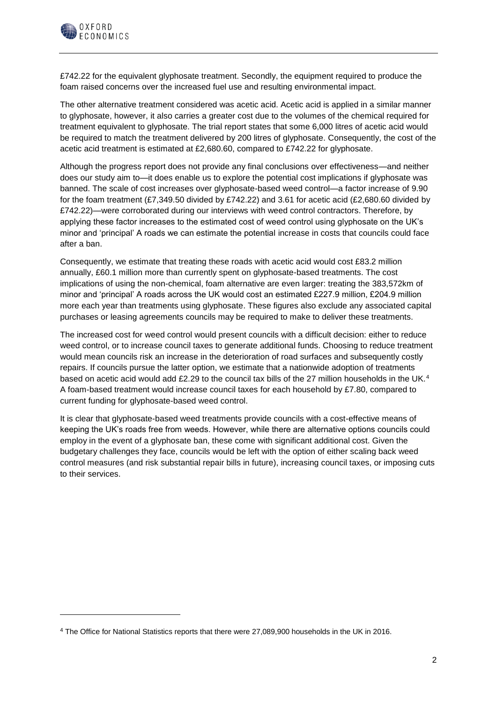

-

£742.22 for the equivalent glyphosate treatment. Secondly, the equipment required to produce the foam raised concerns over the increased fuel use and resulting environmental impact.

The other alternative treatment considered was acetic acid. Acetic acid is applied in a similar manner to glyphosate, however, it also carries a greater cost due to the volumes of the chemical required for treatment equivalent to glyphosate. The trial report states that some 6,000 litres of acetic acid would be required to match the treatment delivered by 200 litres of glyphosate. Consequently, the cost of the acetic acid treatment is estimated at £2,680.60, compared to £742.22 for glyphosate.

Although the progress report does not provide any final conclusions over effectiveness—and neither does our study aim to—it does enable us to explore the potential cost implications if glyphosate was banned. The scale of cost increases over glyphosate-based weed control—a factor increase of 9.90 for the foam treatment (£7,349.50 divided by £742.22) and 3.61 for acetic acid (£2,680.60 divided by £742.22)—were corroborated during our interviews with weed control contractors. Therefore, by applying these factor increases to the estimated cost of weed control using glyphosate on the UK's minor and 'principal' A roads we can estimate the potential increase in costs that councils could face after a ban.

Consequently, we estimate that treating these roads with acetic acid would cost £83.2 million annually, £60.1 million more than currently spent on glyphosate-based treatments. The cost implications of using the non-chemical, foam alternative are even larger: treating the 383,572km of minor and 'principal' A roads across the UK would cost an estimated £227.9 million, £204.9 million more each year than treatments using glyphosate. These figures also exclude any associated capital purchases or leasing agreements councils may be required to make to deliver these treatments.

The increased cost for weed control would present councils with a difficult decision: either to reduce weed control, or to increase council taxes to generate additional funds. Choosing to reduce treatment would mean councils risk an increase in the deterioration of road surfaces and subsequently costly repairs. If councils pursue the latter option, we estimate that a nationwide adoption of treatments based on acetic acid would add £2.29 to the council tax bills of the 27 million households in the UK.<sup>4</sup> A foam-based treatment would increase council taxes for each household by £7.80, compared to current funding for glyphosate-based weed control.

It is clear that glyphosate-based weed treatments provide councils with a cost-effective means of keeping the UK's roads free from weeds. However, while there are alternative options councils could employ in the event of a glyphosate ban, these come with significant additional cost. Given the budgetary challenges they face, councils would be left with the option of either scaling back weed control measures (and risk substantial repair bills in future), increasing council taxes, or imposing cuts to their services.

<sup>4</sup> The Office for National Statistics reports that there were 27,089,900 households in the UK in 2016.